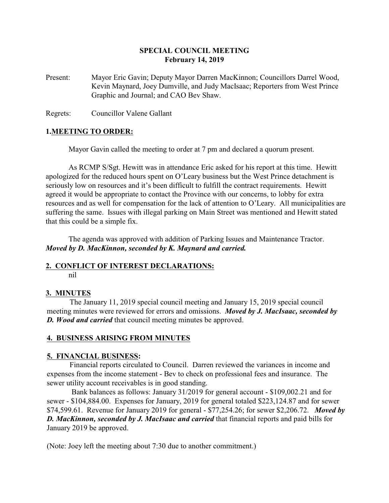### **SPECIAL COUNCIL MEETING February 14, 2019**

Present: Mayor Eric Gavin; Deputy Mayor Darren MacKinnon; Councillors Darrel Wood, Kevin Maynard, Joey Dumville, and Judy MacIsaac; Reporters from West Prince Graphic and Journal; and CAO Bev Shaw.

Regrets: Councillor Valene Gallant

### **1.MEETING TO ORDER:**

Mayor Gavin called the meeting to order at 7 pm and declared a quorum present.

As RCMP S/Sgt. Hewitt was in attendance Eric asked for his report at this time. Hewitt apologized for the reduced hours spent on O'Leary business but the West Prince detachment is seriously low on resources and it's been difficult to fulfill the contract requirements. Hewitt agreed it would be appropriate to contact the Province with our concerns, to lobby for extra resources and as well for compensation for the lack of attention to O'Leary. All municipalities are suffering the same. Issues with illegal parking on Main Street was mentioned and Hewitt stated that this could be a simple fix.

The agenda was approved with addition of Parking Issues and Maintenance Tractor. *Moved by D. MacKinnon, seconded by K. Maynard and carried.*

# **2. CONFLICT OF INTEREST DECLARATIONS:**

nil

## **3. MINUTES**

The January 11, 2019 special council meeting and January 15, 2019 special council meeting minutes were reviewed for errors and omissions. *Moved by J. MacIsaac, seconded by D. Wood and carried* that council meeting minutes be approved.

### **4. BUSINESS ARISING FROM MINUTES**

### **5. FINANCIAL BUSINESS:**

Financial reports circulated to Council. Darren reviewed the variances in income and expenses from the income statement - Bev to check on professional fees and insurance. The sewer utility account receivables is in good standing.

 Bank balances as follows: January 31/2019 for general account - \$109,002.21 and for sewer - \$104,884.00. Expenses for January, 2019 for general totaled \$223,124.87 and for sewer \$74,599.61. Revenue for January 2019 for general - \$77,254.26; for sewer \$2,206.72. *Moved by D. MacKinnon, seconded by J. MacIsaac and carried* that financial reports and paid bills for January 2019 be approved.

(Note: Joey left the meeting about 7:30 due to another commitment.)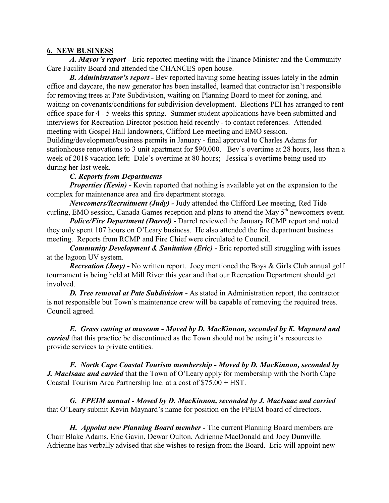#### **6. NEW BUSINESS**

*A. Mayor's report* - Eric reported meeting with the Finance Minister and the Community Care Facility Board and attended the CHANCES open house.

*B. Administrator's report -* Bev reported having some heating issues lately in the admin office and daycare, the new generator has been installed, learned that contractor isn't responsible for removing trees at Pate Subdivision, waiting on Planning Board to meet for zoning, and waiting on covenants/conditions for subdivision development. Elections PEI has arranged to rent office space for 4 - 5 weeks this spring. Summer student applications have been submitted and interviews for Recreation Director position held recently - to contact references. Attended meeting with Gospel Hall landowners, Clifford Lee meeting and EMO session. Building/development/business permits in January - final approval to Charles Adams for stationhouse renovations to 3 unit apartment for \$90,000. Bev's overtime at 28 hours, less than a week of 2018 vacation left; Dale's overtime at 80 hours; Jessica's overtime being used up during her last week.

### *C. Reports from Departments*

*Properties (Kevin) -* Kevin reported that nothing is available yet on the expansion to the complex for maintenance area and fire department storage.

*Newcomers/Recruitment (Judy) -* Judy attended the Clifford Lee meeting, Red Tide curling, EMO session, Canada Games reception and plans to attend the May 5<sup>th</sup> newcomers event.

*Police/Fire Department (Darrel) -* Darrel reviewed the January RCMP report and noted they only spent 107 hours on O'Leary business. He also attended the fire department business meeting. Reports from RCMP and Fire Chief were circulated to Council.

*Community Development & Sanitation (Eric)* - Eric reported still struggling with issues at the lagoon UV system.

*Recreation (Joey) -* No written report. Joey mentioned the Boys & Girls Club annual golf tournament is being held at Mill River this year and that our Recreation Department should get involved.

**D.** Tree removal at Pate Subdivision - As stated in Administration report, the contractor is not responsible but Town's maintenance crew will be capable of removing the required trees. Council agreed.

*E. Grass cutting at museum - Moved by D. MacKinnon, seconded by K. Maynard and carried* that this practice be discontinued as the Town should not be using it's resources to provide services to private entities.

*F. North Cape Coastal Tourism membership - Moved by D. MacKinnon, seconded by J. MacIsaac and carried* that the Town of O'Leary apply for membership with the North Cape Coastal Tourism Area Partnership Inc. at a cost of \$75.00 + HST.

*G. FPEIM annual - Moved by D. MacKinnon, seconded by J. MacIsaac and carried* that O'Leary submit Kevin Maynard's name for position on the FPEIM board of directors.

*H. Appoint new Planning Board member -* The current Planning Board members are Chair Blake Adams, Eric Gavin, Dewar Oulton, Adrienne MacDonald and Joey Dumville. Adrienne has verbally advised that she wishes to resign from the Board. Eric will appoint new